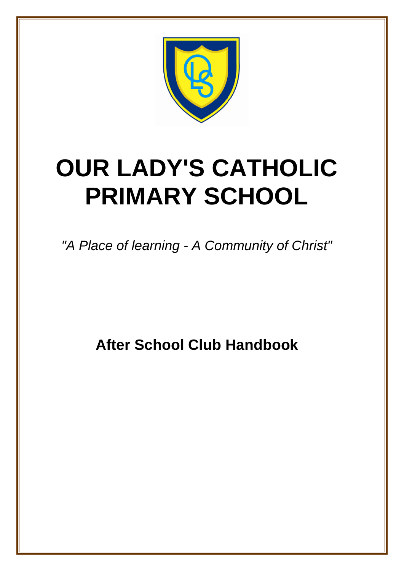

# **OUR LADY'S CATHOLIC PRIMARY SCHOOL**

*"A Place of learning - A Community of Christ"*

**After School Club Handbook**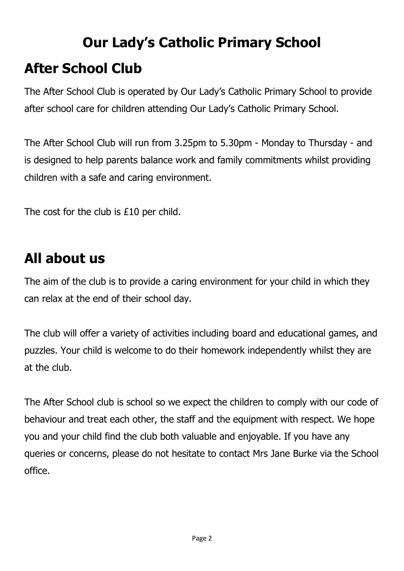## **Our Lady's Catholic Primary School After School Club**

The After School Club is operated by Our Lady's Catholic Primary School to provide after school care for children attending Our Lady's Catholic Primary School.

The After School Club will run from 3.25pm to 5.30pm - Monday to Thursday - and is designed to help parents balance work and family commitments whilst providing children with a safe and caring environment.

The cost for the club is £10 per child.

### **All about us**

The aim of the club is to provide a caring environment for your child in which they can relax at the end of their school day.

The club will offer a variety of activities including board and educational games, and puzzles. Your child is welcome to do their homework independently whilst they are at the club.

The After School club is school so we expect the children to comply with our code of behaviour and treat each other, the staff and the equipment with respect. We hope you and your child find the club both valuable and enjoyable. If you have any queries or concerns, please do not hesitate to contact Mrs Jane Burke via the School office.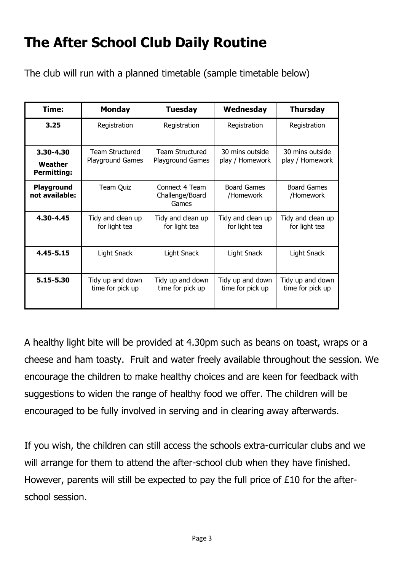### **The After School Club Daily Routine**

The club will run with a planned timetable (sample timetable below)

| Time:                                      | <b>Monday</b>                                     | <b>Tuesday</b>                             | Wednesday                            | <b>Thursday</b>                      |
|--------------------------------------------|---------------------------------------------------|--------------------------------------------|--------------------------------------|--------------------------------------|
| 3.25                                       | Registration                                      | Registration                               | Registration                         | Registration                         |
| 3.30-4.30<br>Weather<br><b>Permitting:</b> | <b>Team Structured</b><br><b>Playground Games</b> | <b>Team Structured</b><br>Playground Games | 30 mins outside.<br>play / Homework  | 30 mins outside<br>play / Homework   |
| Playground<br>not available:               | Team Quiz                                         | Connect 4 Team<br>Challenge/Board<br>Games | <b>Board Games</b><br>/Homework      | Board Games<br>/Homework             |
| 4.30-4.45                                  | Tidy and clean up<br>for light tea                | Tidy and clean up<br>for light tea         | Tidy and clean up<br>for light tea   | Tidy and clean up<br>for light tea   |
| 4.45-5.15                                  | Light Snack                                       | Light Snack                                | Light Snack                          | Light Snack                          |
| 5.15-5.30                                  | Tidy up and down<br>time for pick up              | Tidy up and down<br>time for pick up       | Tidy up and down<br>time for pick up | Tidy up and down<br>time for pick up |

A healthy light bite will be provided at 4.30pm such as beans on toast, wraps or a cheese and ham toasty. Fruit and water freely available throughout the session. We encourage the children to make healthy choices and are keen for feedback with suggestions to widen the range of healthy food we offer. The children will be encouraged to be fully involved in serving and in clearing away afterwards.

If you wish, the children can still access the schools extra-curricular clubs and we will arrange for them to attend the after-school club when they have finished. However, parents will still be expected to pay the full price of £10 for the afterschool session.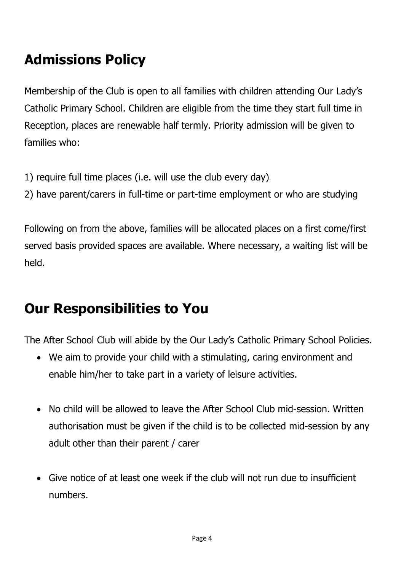### **Admissions Policy**

Membership of the Club is open to all families with children attending Our Lady's Catholic Primary School. Children are eligible from the time they start full time in Reception, places are renewable half termly. Priority admission will be given to families who:

- 1) require full time places (i.e. will use the club every day)
- 2) have parent/carers in full-time or part-time employment or who are studying

Following on from the above, families will be allocated places on a first come/first served basis provided spaces are available. Where necessary, a waiting list will be held.

### **Our Responsibilities to You**

The After School Club will abide by the Our Lady's Catholic Primary School Policies.

- We aim to provide your child with a stimulating, caring environment and enable him/her to take part in a variety of leisure activities.
- No child will be allowed to leave the After School Club mid-session. Written authorisation must be given if the child is to be collected mid-session by any adult other than their parent / carer
- Give notice of at least one week if the club will not run due to insufficient numbers.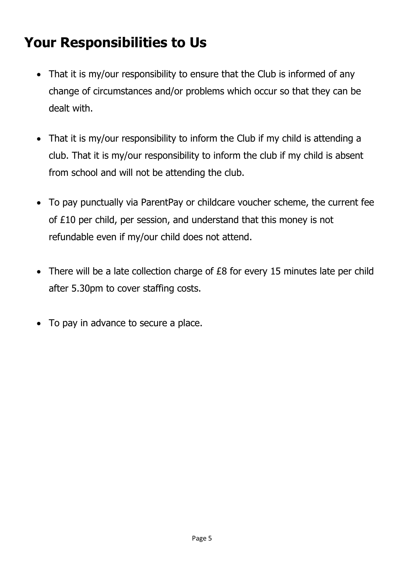### **Your Responsibilities to Us**

- That it is my/our responsibility to ensure that the Club is informed of any change of circumstances and/or problems which occur so that they can be dealt with.
- That it is my/our responsibility to inform the Club if my child is attending a club. That it is my/our responsibility to inform the club if my child is absent from school and will not be attending the club.
- To pay punctually via ParentPay or childcare voucher scheme, the current fee of £10 per child, per session, and understand that this money is not refundable even if my/our child does not attend.
- There will be a late collection charge of £8 for every 15 minutes late per child after 5.30pm to cover staffing costs.
- To pay in advance to secure a place.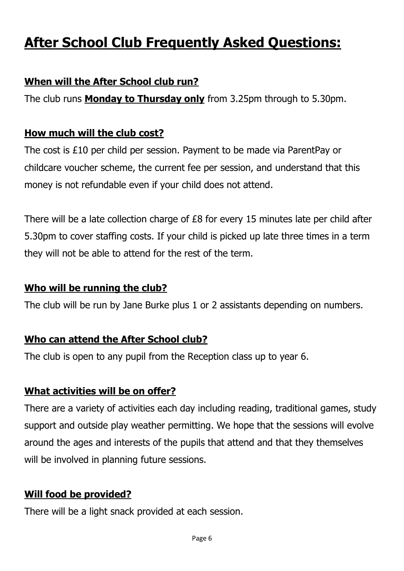### **After School Club Frequently Asked Questions:**

#### **When will the After School club run?**

The club runs **Monday to Thursday only** from 3.25pm through to 5.30pm.

#### **How much will the club cost?**

The cost is £10 per child per session. Payment to be made via ParentPay or childcare voucher scheme, the current fee per session, and understand that this money is not refundable even if your child does not attend.

There will be a late collection charge of £8 for every 15 minutes late per child after 5.30pm to cover staffing costs. If your child is picked up late three times in a term they will not be able to attend for the rest of the term.

#### **Who will be running the club?**

The club will be run by Jane Burke plus 1 or 2 assistants depending on numbers.

#### **Who can attend the After School club?**

The club is open to any pupil from the Reception class up to year 6.

#### **What activities will be on offer?**

There are a variety of activities each day including reading, traditional games, study support and outside play weather permitting. We hope that the sessions will evolve around the ages and interests of the pupils that attend and that they themselves will be involved in planning future sessions.

#### **Will food be provided?**

There will be a light snack provided at each session.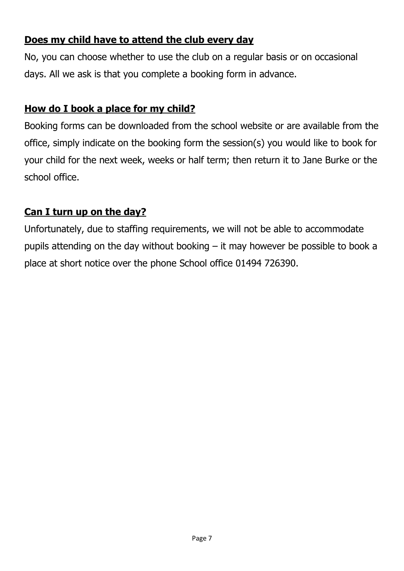#### **Does my child have to attend the club every day**

No, you can choose whether to use the club on a regular basis or on occasional days. All we ask is that you complete a booking form in advance.

#### **How do I book a place for my child?**

Booking forms can be downloaded from the school website or are available from the office, simply indicate on the booking form the session(s) you would like to book for your child for the next week, weeks or half term; then return it to Jane Burke or the school office.

#### **Can I turn up on the day?**

Unfortunately, due to staffing requirements, we will not be able to accommodate pupils attending on the day without booking – it may however be possible to book a place at short notice over the phone School office 01494 726390.